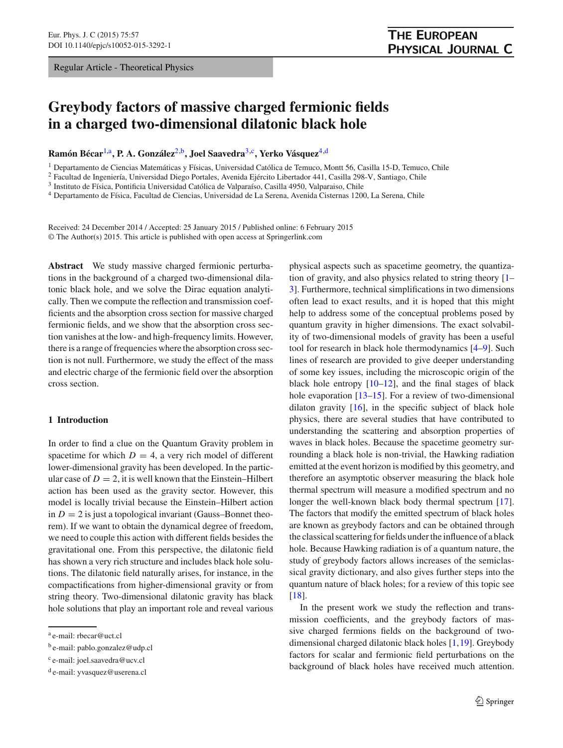Regular Article - Theoretical Physics

# **Greybody factors of massive charged fermionic fields in a charged two-dimensional dilatonic black hole**

**Ramón Bécar**[1,](#page-0-0)a**, P. A. González**[2,](#page-0-0)b**, Joel Saavedra**[3,](#page-0-1)c**, Yerko Vásquez**[4,](#page-0-2)d

<sup>1</sup> Departamento de Ciencias Matemáticas y Físicas, Universidad Católica de Temuco, Montt 56, Casilla 15-D, Temuco, Chile

<sup>2</sup> Facultad de Ingeniería, Universidad Diego Portales, Avenida Ejército Libertador 441, Casilla 298-V, Santiago, Chile

<sup>3</sup> Instituto de Física, Pontificia Universidad Católica de Valparaíso, Casilla 4950, Valparaiso, Chile

<sup>4</sup> Departamento de Física, Facultad de Ciencias, Universidad de La Serena, Avenida Cisternas 1200, La Serena, Chile

Received: 24 December 2014 / Accepted: 25 January 2015 / Published online: 6 February 2015 © The Author(s) 2015. This article is published with open access at Springerlink.com

**Abstract** We study massive charged fermionic perturbations in the background of a charged two-dimensional dilatonic black hole, and we solve the Dirac equation analytically. Then we compute the reflection and transmission coefficients and the absorption cross section for massive charged fermionic fields, and we show that the absorption cross section vanishes at the low- and high-frequency limits. However, there is a range of frequencies where the absorption cross section is not null. Furthermore, we study the effect of the mass and electric charge of the fermionic field over the absorption cross section.

### **1 Introduction**

In order to find a clue on the Quantum Gravity problem in spacetime for which  $D = 4$ , a very rich model of different lower-dimensional gravity has been developed. In the particular case of  $D = 2$ , it is well known that the Einstein–Hilbert action has been used as the gravity sector. However, this model is locally trivial because the Einstein–Hilbert action in  $D = 2$  is just a topological invariant (Gauss–Bonnet theorem). If we want to obtain the dynamical degree of freedom, we need to couple this action with different fields besides the gravitational one. From this perspective, the dilatonic field has shown a very rich structure and includes black hole solutions. The dilatonic field naturally arises, for instance, in the compactifications from higher-dimensional gravity or from string theory. Two-dimensional dilatonic gravity has black hole solutions that play an important role and reveal various <span id="page-0-2"></span><span id="page-0-1"></span><span id="page-0-0"></span>physical aspects such as spacetime geometry, the quantization of gravity, and also physics related to string theory [\[1](#page-6-0)– [3](#page-6-1)]. Furthermore, technical simplifications in two dimensions often lead to exact results, and it is hoped that this might help to address some of the conceptual problems posed by quantum gravity in higher dimensions. The exact solvability of two-dimensional models of gravity has been a useful tool for research in black hole thermodynamics [\[4](#page-6-2)[–9\]](#page-6-3). Such lines of research are provided to give deeper understanding of some key issues, including the microscopic origin of the black hole entropy  $[10-12]$  $[10-12]$ , and the final stages of black hole evaporation  $[13-15]$  $[13-15]$ . For a review of two-dimensional dilaton gravity [\[16\]](#page-6-8), in the specific subject of black hole physics, there are several studies that have contributed to understanding the scattering and absorption properties of waves in black holes. Because the spacetime geometry surrounding a black hole is non-trivial, the Hawking radiation emitted at the event horizon is modified by this geometry, and therefore an asymptotic observer measuring the black hole thermal spectrum will measure a modified spectrum and no longer the well-known black body thermal spectrum [\[17](#page-6-9)]. The factors that modify the emitted spectrum of black holes are known as greybody factors and can be obtained through the classical scattering for fields under the influence of a black hole. Because Hawking radiation is of a quantum nature, the study of greybody factors allows increases of the semiclassical gravity dictionary, and also gives further steps into the quantum nature of black holes; for a review of this topic see [\[18](#page-6-10)].

In the present work we study the reflection and transmission coefficients, and the greybody factors of massive charged fermions fields on the background of twodimensional charged dilatonic black holes [\[1](#page-6-0),[19](#page-6-11)]. Greybody factors for scalar and fermionic field perturbations on the background of black holes have received much attention.

<sup>a</sup> e-mail: rbecar@uct.cl

<sup>b</sup> e-mail: pablo.gonzalez@udp.cl

<sup>c</sup> e-mail: joel.saavedra@ucv.cl

<sup>d</sup> e-mail: yvasquez@userena.cl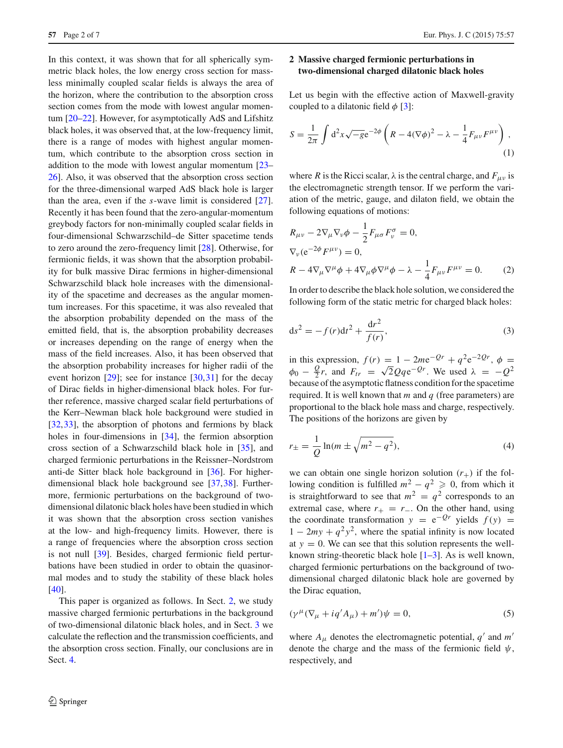In this context, it was shown that for all spherically symmetric black holes, the low energy cross section for massless minimally coupled scalar fields is always the area of the horizon, where the contribution to the absorption cross section comes from the mode with lowest angular momentum [\[20](#page-6-12)[–22](#page-6-13)]. However, for asymptotically AdS and Lifshitz black holes, it was observed that, at the low-frequency limit, there is a range of modes with highest angular momentum, which contribute to the absorption cross section in addition to the mode with lowest angular momentum [\[23](#page-6-14)– [26\]](#page-6-15). Also, it was observed that the absorption cross section for the three-dimensional warped AdS black hole is larger than the area, even if the *s*-wave limit is considered [\[27](#page-6-16)]. Recently it has been found that the zero-angular-momentum greybody factors for non-minimally coupled scalar fields in four-dimensional Schwarzschild–de Sitter spacetime tends to zero around the zero-frequency limit [\[28](#page-6-17)]. Otherwise, for fermionic fields, it was shown that the absorption probability for bulk massive Dirac fermions in higher-dimensional Schwarzschild black hole increases with the dimensionality of the spacetime and decreases as the angular momentum increases. For this spacetime, it was also revealed that the absorption probability depended on the mass of the emitted field, that is, the absorption probability decreases or increases depending on the range of energy when the mass of the field increases. Also, it has been observed that the absorption probability increases for higher radii of the event horizon  $[29]$  $[29]$ ; see for instance  $[30,31]$  $[30,31]$  $[30,31]$  for the decay of Dirac fields in higher-dimensional black holes. For further reference, massive charged scalar field perturbations of the Kerr–Newman black hole background were studied in [\[32](#page-6-21),[33\]](#page-6-22), the absorption of photons and fermions by black holes in four-dimensions in [\[34](#page-6-23)], the fermion absorption cross section of a Schwarzschild black hole in [\[35\]](#page-6-24), and charged fermionic perturbations in the Reissner–Nordstrom anti-de Sitter black hole background in [\[36\]](#page-6-25). For higherdimensional black hole background see [\[37](#page-6-26),[38\]](#page-6-27). Furthermore, fermionic perturbations on the background of twodimensional dilatonic black holes have been studied in which it was shown that the absorption cross section vanishes at the low- and high-frequency limits. However, there is a range of frequencies where the absorption cross section is not null [\[39\]](#page-6-28). Besides, charged fermionic field perturbations have been studied in order to obtain the quasinormal modes and to study the stability of these black holes [\[40](#page-6-29)].

This paper is organized as follows. In Sect. [2,](#page-1-0) we study massive charged fermionic perturbations in the background of two-dimensional dilatonic black holes, and in Sect. [3](#page-3-0) we calculate the reflection and the transmission coefficients, and the absorption cross section. Finally, our conclusions are in Sect. [4.](#page-5-0)

## <span id="page-1-0"></span>**2 Massive charged fermionic perturbations in two-dimensional charged dilatonic black holes**

Let us begin with the effective action of Maxwell-gravity coupled to a dilatonic field  $\phi$  [\[3\]](#page-6-1):

$$
S = \frac{1}{2\pi} \int d^2x \sqrt{-g} e^{-2\phi} \left( R - 4(\nabla\phi)^2 - \lambda - \frac{1}{4} F_{\mu\nu} F^{\mu\nu} \right),
$$
\n(1)

where *R* is the Ricci scalar,  $\lambda$  is the central charge, and  $F_{\mu\nu}$  is the electromagnetic strength tensor. If we perform the variation of the metric, gauge, and dilaton field, we obtain the following equations of motions:

$$
R_{\mu\nu} - 2\nabla_{\mu}\nabla_{\nu}\phi - \frac{1}{2}F_{\mu\sigma}F_{\nu}^{\sigma} = 0,
$$
  
\n
$$
\nabla_{\nu}(e^{-2\phi}F^{\mu\nu}) = 0,
$$
  
\n
$$
R - 4\nabla_{\mu}\nabla^{\mu}\phi + 4\nabla_{\mu}\phi\nabla^{\mu}\phi - \lambda - \frac{1}{4}F_{\mu\nu}F^{\mu\nu} = 0.
$$
 (2)

In order to describe the black hole solution, we considered the following form of the static metric for charged black holes:

$$
ds^{2} = -f(r)dt^{2} + \frac{dr^{2}}{f(r)},
$$
\t(3)

in this expression,  $f(r) = 1 - 2me^{-Qr} + q^2e^{-2Qr}$ ,  $\phi =$  $\phi_0 - \frac{Q}{2}r$ , and  $F_{tr} = \sqrt{2}Qq e^{-Qr}$ . We used  $\lambda = -Q^2$ because of the asymptotic flatness condition for the spacetime required. It is well known that *m* and *q* (free parameters) are proportional to the black hole mass and charge, respectively. The positions of the horizons are given by

$$
r_{\pm} = \frac{1}{Q} \ln(m \pm \sqrt{m^2 - q^2}),
$$
 (4)

we can obtain one single horizon solution  $(r_{+})$  if the following condition is fulfilled  $m^2 - q^2 \geqslant 0$ , from which it is straightforward to see that  $m^2 = q^2$  corresponds to an extremal case, where  $r_{+} = r_{-}$ . On the other hand, using the coordinate transformation  $y = e^{-Qr}$  yields  $f(y) =$  $1 - 2my + q^2y^2$ , where the spatial infinity is now located at  $y = 0$ . We can see that this solution represents the wellknown string-theoretic black hole  $[1-3]$  $[1-3]$ . As is well known, charged fermionic perturbations on the background of twodimensional charged dilatonic black hole are governed by the Dirac equation,

$$
(\gamma^{\mu}(\nabla_{\mu} + iq'A_{\mu}) + m')\psi = 0, \qquad (5)
$$

where  $A_{\mu}$  denotes the electromagnetic potential,  $q'$  and  $m'$ denote the charge and the mass of the fermionic field  $\psi$ , respectively, and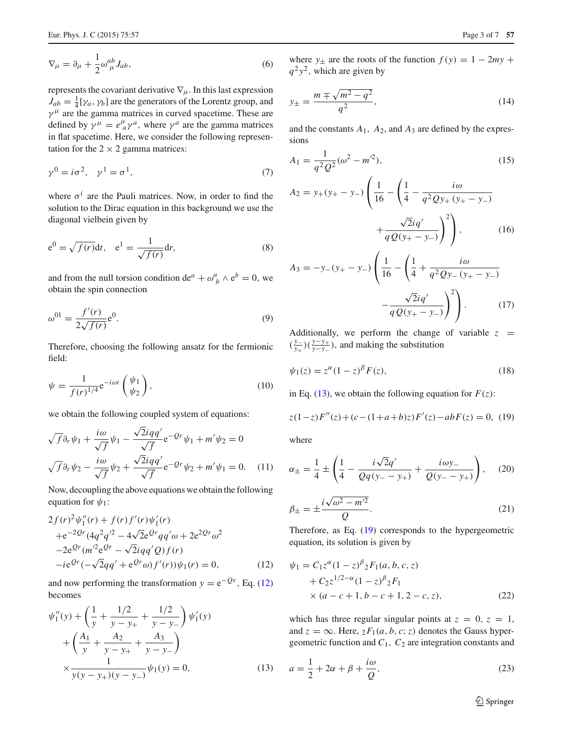$$
\nabla_{\mu} = \partial_{\mu} + \frac{1}{2} \omega_{\mu}^{ab} J_{ab},\tag{6}
$$

represents the covariant derivative  $\nabla_{\mu}$ . In this last expression  $J_{ab} = \frac{1}{4} [\gamma_a, \gamma_b]$  are the generators of the Lorentz group, and  $\gamma^{\mu}$  are the gamma matrices in curved spacetime. These are defined by  $\gamma^{\mu} = e^{\mu}_{a} \gamma^{a}$ , where  $\gamma^{a}$  are the gamma matrices in flat spacetime. Here, we consider the following representation for the  $2 \times 2$  gamma matrices:

$$
\gamma^0 = i\sigma^2, \quad \gamma^1 = \sigma^1,\tag{7}
$$

where  $\sigma^{i}$  are the Pauli matrices. Now, in order to find the solution to the Dirac equation in this background we use the diagonal vielbein given by

$$
e^{0} = \sqrt{f(r)}dt, \quad e^{1} = \frac{1}{\sqrt{f(r)}}dr,
$$
\n(8)

and from the null torsion condition de<sup>*a*</sup> +  $\omega_b^a \wedge e^b = 0$ , we obtain the spin connection

$$
\omega^{01} = \frac{f'(r)}{2\sqrt{f(r)}} e^{0}.
$$
\n(9)

Therefore, choosing the following ansatz for the fermionic field:

$$
\psi = \frac{1}{f(r)^{1/4}} e^{-i\omega t} \begin{pmatrix} \psi_1 \\ \psi_2 \end{pmatrix},\tag{10}
$$

we obtain the following coupled system of equations:

<span id="page-2-3"></span>
$$
\sqrt{f}\partial_r\psi_1 + \frac{i\omega}{\sqrt{f}}\psi_1 - \frac{\sqrt{2}iqq'}{\sqrt{f}}e^{-Qr}\psi_1 + m'\psi_2 = 0
$$
  

$$
\sqrt{f}\partial_r\psi_2 - \frac{i\omega}{\sqrt{f}}\psi_2 + \frac{\sqrt{2}iqq'}{\sqrt{f}}e^{-Qr}\psi_2 + m'\psi_1 = 0.
$$
 (11)

Now, decoupling the above equations we obtain the following equation for  $\psi_1$ :

<span id="page-2-0"></span>
$$
2f(r)^{2}\psi_{1}''(r) + f(r)f'(r)\psi_{1}'(r)
$$
  
+e<sup>-20r</sup>(4q<sup>2</sup>q<sup>2</sup> - 4√2e<sup>0r</sup>qq'ω + 2e<sup>20r</sup>ω<sup>2</sup>  
-2e<sup>0r</sup>(m'<sup>2</sup>e<sup>0r</sup> - √2iqq'Q)f(r)  
-ie<sup>0r</sup>(-√2qq' + e<sup>0r</sup>ω)f'(r))\psi\_{1}(r) = 0, (12)

and now performing the transformation  $y = e^{-Qr}$ , Eq. [\(12\)](#page-2-0) becomes

<span id="page-2-1"></span>
$$
\psi_1''(y) + \left(\frac{1}{y} + \frac{1/2}{y - y_+} + \frac{1/2}{y - y_-}\right)\psi_1'(y) \n+ \left(\frac{A_1}{y} + \frac{A_2}{y - y_+} + \frac{A_3}{y - y_-}\right) \n\times \frac{1}{y(y - y_+)(y - y_-)}\psi_1(y) = 0,
$$
\n(13)

$$
y_{\pm} = \frac{m \mp \sqrt{m^2 - q^2}}{q^2},\tag{14}
$$

and the constants  $A_1$ ,  $A_2$ , and  $A_3$  are defined by the expressions

$$
A_1 = \frac{1}{q^2 Q^2} (\omega^2 - m^2),
$$
\n
$$
A_2 = y_+(y_+ - y_-) \left( \frac{1}{16} - \left( \frac{1}{4} - \frac{i\omega}{q^2 Q y_+(y_+ - y_-)} + \frac{\sqrt{2} i q'}{q Q (y_+ - y_-)} \right)^2 \right),
$$
\n(16)

$$
A_3 = -y_{-}(y_{+} - y_{-}) \left( \frac{1}{16} - \left( \frac{1}{4} + \frac{i\omega}{q^2 Q y_{-}(y_{+} - y_{-})} - \frac{\sqrt{2}iq'}{q Q(y_{+} - y_{-})} \right)^2 \right). \tag{17}
$$

Additionally, we perform the change of variable  $z =$  $(\frac{y_-}{y_+})(\frac{y-y_+}{y-y_-})$ , and making the substitution

$$
\psi_1(z) = z^{\alpha} (1 - z)^{\beta} F(z),\tag{18}
$$

in Eq. [\(13\)](#page-2-1), we obtain the following equation for  $F(z)$ :

<span id="page-2-2"></span>
$$
z(1-z)F''(z) + (c - (1+a+b)z)F'(z) - abF(z) = 0, (19)
$$

where

$$
\alpha_{\pm} = \frac{1}{4} \pm \left( \frac{1}{4} - \frac{i\sqrt{2}q'}{Qq(y_{-} - y_{+})} + \frac{i\omega y_{-}}{Q(y_{-} - y_{+})} \right), \quad (20)
$$
  

$$
\beta_{\pm} = \pm \frac{i\sqrt{\omega^{2} - m'^{2}}}{Q}.
$$
 (21)

Therefore, as Eq. [\(19\)](#page-2-2) corresponds to the hypergeometric equation, its solution is given by

$$
\psi_1 = C_1 z^{\alpha} (1 - z)^{\beta} {}_2F_1(a, b, c, z) \n+ C_2 z^{1/2 - \alpha} (1 - z)^{\beta} {}_2F_1 \n\times (a - c + 1, b - c + 1, 2 - c, z),
$$
\n(22)

which has three regular singular points at  $z = 0$ ,  $z = 1$ , and  $z = \infty$ . Here,  ${}_2F_1(a, b, c; z)$  denotes the Gauss hypergeometric function and *C*1, *C*<sup>2</sup> are integration constants and

$$
a = \frac{1}{2} + 2\alpha + \beta + \frac{i\omega}{Q},\tag{23}
$$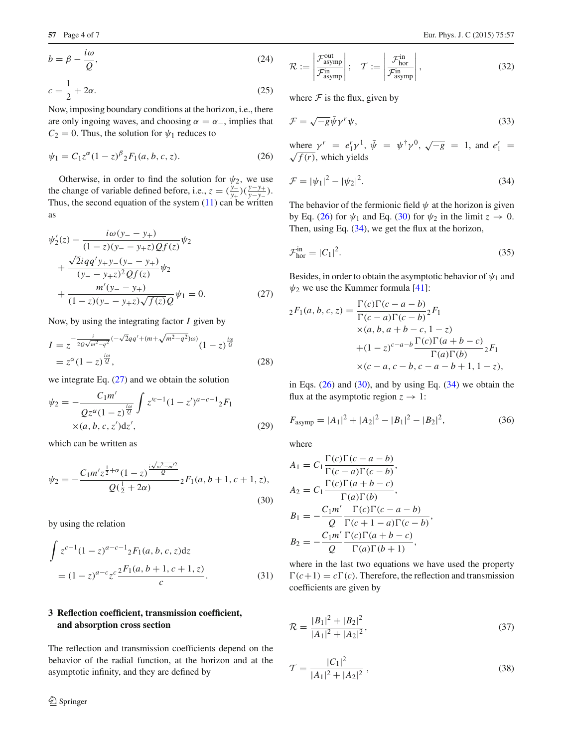$$
b = \beta - \frac{i\omega}{Q},\tag{24}
$$

$$
c = \frac{1}{2} + 2\alpha. \tag{25}
$$

Now, imposing boundary conditions at the horizon, i.e., there are only ingoing waves, and choosing  $\alpha = \alpha_{-}$ , implies that  $C_2 = 0$ . Thus, the solution for  $\psi_1$  reduces to

$$
\psi_1 = C_1 z^{\alpha} (1 - z)^{\beta} {}_2F_1(a, b, c, z). \tag{26}
$$

Otherwise, in order to find the solution for  $\psi_2$ , we use the change of variable defined before, i.e.,  $z = (\frac{y_-}{y_+})(\frac{y-y_+}{y-y_-})$ . Thus, the second equation of the system  $(11)$  can be written as

$$
\psi_2'(z) - \frac{i\omega(y_2 - y_1)}{(1 - z)(y_2 - y_2)} \psi_2 \n+ \frac{\sqrt{2}iq(y_2 - y_2 - y_1)}{(y_2 - y_2 - y_2)} \psi_2 \n+ \frac{m'(y_2 - y_1)}{(1 - z)(y_2 - y_2)} \psi_1 = 0.
$$
\n(27)

Now, by using the integrating factor *I* given by

$$
I = z^{-\frac{i}{2Q\sqrt{m^2 - q^2}}(-\sqrt{2}qq' + (m + \sqrt{m^2 - q^2})\omega)}(1 - z)^{\frac{i\omega}{Q}}
$$
  
=  $z^{\alpha}(1 - z)^{\frac{i\omega}{Q}},$  (28)

we integrate Eq.  $(27)$  and we obtain the solution

$$
\psi_2 = -\frac{C_1 m'}{Q z^{\alpha} (1 - z)^{\frac{i\omega}{Q}}} \int z'^{c-1} (1 - z')^{a-c-1} {}_2F_1
$$
  
×(a, b, c, z')dz', (29)

<span id="page-3-3"></span>which can be written as

$$
\psi_2 = -\frac{C_1 m' z^{\frac{1}{2} + \alpha} (1 - z)^{\frac{i\sqrt{\omega^2 - m'^2}}{Q}}}{Q(\frac{1}{2} + 2\alpha)} {}_2F_1(a, b + 1, c + 1, z),
$$
\n(30)

by using the relation

$$
\int z^{c-1} (1-z)^{a-c-1} {}_{2}F_{1}(a, b, c, z) dz
$$
  
=  $(1-z)^{a-c} z^{c} \frac{{}_{2}F_{1}(a, b+1, c+1, z)}{c}$ . (31)

# <span id="page-3-0"></span>**3 Reflection coefficient, transmission coefficient, and absorption cross section**

The reflection and transmission coefficients depend on the behavior of the radial function, at the horizon and at the asymptotic infinity, and they are defined by

$$
\mathcal{R} := \left| \frac{\mathcal{F}_{\text{asymp}}^{\text{out}}}{\mathcal{F}_{\text{asymp}}^{\text{in}}} \right|; \quad \mathcal{T} := \left| \frac{\mathcal{F}_{\text{hor}}^{\text{in}}}{\mathcal{F}_{\text{asymp}}^{\text{in}}} \right|,
$$
\n(32)

where  $F$  is the flux, given by

$$
\mathcal{F} = \sqrt{-g}\bar{\psi}\gamma^r\psi,\tag{33}
$$

<span id="page-3-4"></span><span id="page-3-2"></span>where  $\gamma^r = e_1^r \gamma^1$ ,  $\bar{\psi} = \psi^{\dagger} \gamma^0$ ,  $\sqrt{-g} = 1$ , and  $e_1^r = \sqrt{f(r)}$ , which yields

$$
\mathcal{F} = |\psi_1|^2 - |\psi_2|^2. \tag{34}
$$

The behavior of the fermionic field  $\psi$  at the horizon is given by Eq. [\(26\)](#page-3-2) for  $\psi_1$  and Eq. [\(30\)](#page-3-3) for  $\psi_2$  in the limit  $z \to 0$ . Then, using Eq. [\(34\)](#page-3-4), we get the flux at the horizon,

$$
\mathcal{F}_{\text{hor}}^{\text{in}} = |C_1|^2. \tag{35}
$$

<span id="page-3-1"></span>Besides, in order to obtain the asymptotic behavior of  $\psi_1$  and  $\psi_2$  we use the Kummer formula [\[41\]](#page-6-30):

$$
{}_2F_1(a, b, c, z) = \frac{\Gamma(c)\Gamma(c - a - b)}{\Gamma(c - a)\Gamma(c - b)} {}_2F_1
$$
  
×(a, b, a + b - c, 1 - z)  
+(1 - z)<sup>c-a-b</sup> $\frac{\Gamma(c)\Gamma(a + b - c)}{\Gamma(a)\Gamma(b)} {}_2F_1$   
×(c - a, c - b, c - a - b + 1, 1 - z),

in Eqs.  $(26)$  and  $(30)$ , and by using Eq.  $(34)$  we obtain the flux at the asymptotic region  $z \to 1$ :

$$
F_{\text{asymp}} = |A_1|^2 + |A_2|^2 - |B_1|^2 - |B_2|^2,\tag{36}
$$

where

$$
A_1 = C_1 \frac{\Gamma(c)\Gamma(c-a-b)}{\Gamma(c-a)\Gamma(c-b)},
$$
  
\n
$$
A_2 = C_1 \frac{\Gamma(c)\Gamma(a+b-c)}{\Gamma(a)\Gamma(b)},
$$
  
\n
$$
B_1 = -\frac{C_1 m'}{Q} \frac{\Gamma(c)\Gamma(c-a-b)}{\Gamma(c+1-a)\Gamma(c-b)},
$$
  
\n
$$
B_2 = -\frac{C_1 m'}{Q} \frac{\Gamma(c)\Gamma(a+b-c)}{\Gamma(a)\Gamma(b+1)},
$$

<span id="page-3-5"></span>where in the last two equations we have used the property  $\Gamma(c+1) = c\Gamma(c)$ . Therefore, the reflection and transmission coefficients are given by

$$
\mathcal{R} = \frac{|B_1|^2 + |B_2|^2}{|A_1|^2 + |A_2|^2},\tag{37}
$$

<span id="page-3-6"></span>
$$
\mathcal{T} = \frac{|C_1|^2}{|A_1|^2 + |A_2|^2},\tag{38}
$$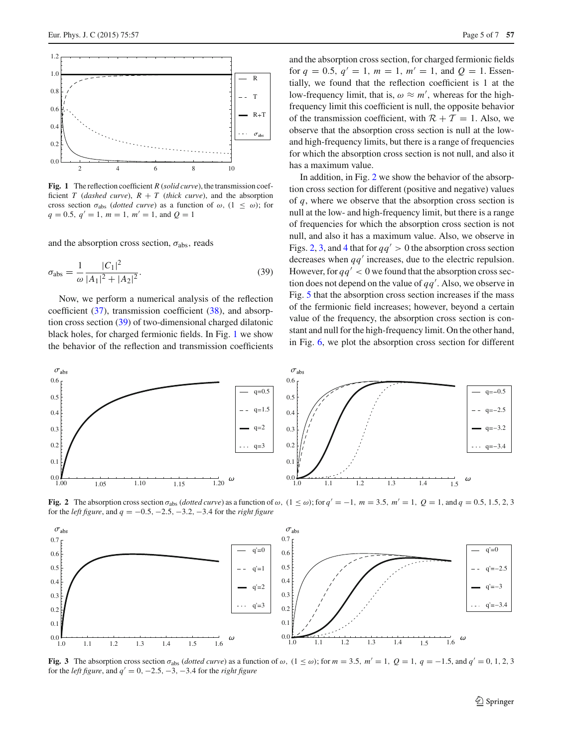

<span id="page-4-1"></span>**Fig. 1** The reflection coefficient *R* (*solid curve*), the transmission coefficient *T* (*dashed curve*),  $R + T$  (*thick curve*), and the absorption cross section  $\sigma_{\text{abs}}$  (*dotted curve*) as a function of  $\omega$ , (1  $\leq \omega$ ); for  $q = 0.5$ ,  $q' = 1$ ,  $m = 1$ ,  $m' = 1$ , and  $Q = 1$ 

and the absorption cross section,  $\sigma_{\text{abs}}$ , reads

$$
\sigma_{\rm abs} = \frac{1}{\omega} \frac{|C_1|^2}{|A_1|^2 + |A_2|^2}.
$$
\n(39)

Now, we perform a numerical analysis of the reflection coefficient [\(37\)](#page-3-5), transmission coefficient [\(38\)](#page-3-6), and absorption cross section [\(39\)](#page-4-0) of two-dimensional charged dilatonic black holes, for charged fermionic fields. In Fig. [1](#page-4-1) we show the behavior of the reflection and transmission coefficients and the absorption cross section, for charged fermionic fields for  $q = 0.5$ ,  $q' = 1$ ,  $m = 1$ ,  $m' = 1$ , and  $Q = 1$ . Essentially, we found that the reflection coefficient is 1 at the low-frequency limit, that is,  $\omega \approx m'$ , whereas for the highfrequency limit this coefficient is null, the opposite behavior of the transmission coefficient, with  $\mathcal{R} + \mathcal{T} = 1$ . Also, we observe that the absorption cross section is null at the lowand high-frequency limits, but there is a range of frequencies for which the absorption cross section is not null, and also it has a maximum value.

<span id="page-4-0"></span>In addition, in Fig. [2](#page-4-2) we show the behavior of the absorption cross section for different (positive and negative) values of *q*, where we observe that the absorption cross section is null at the low- and high-frequency limit, but there is a range of frequencies for which the absorption cross section is not null, and also it has a maximum value. Also, we observe in Figs. [2,](#page-4-2) [3,](#page-4-3) and [4](#page-5-1) that for  $qq' > 0$  the absorption cross section decreases when  $qq'$  increases, due to the electric repulsion. However, for  $qq' < 0$  we found that the absorption cross section does not depend on the value of  $qq'$ . Also, we observe in Fig. [5](#page-5-2) that the absorption cross section increases if the mass of the fermionic field increases; however, beyond a certain value of the frequency, the absorption cross section is constant and null for the high-frequency limit. On the other hand, in Fig. [6,](#page-5-3) we plot the absorption cross section for different



<span id="page-4-2"></span>**Fig. 2** The absorption cross section  $\sigma_{\text{abs}}$  (*dotted curve*) as a function of  $\omega$ ,  $(1 \leq \omega)$ ; for  $q' = -1$ ,  $m = 3.5$ ,  $m' = 1$ ,  $Q = 1$ , and  $q = 0.5, 1.5, 2, 3$ for the *left figure*, and  $q = -0.5, -2.5, -3.2, -3.4$  for the *right figure* 



<span id="page-4-3"></span>**Fig. 3** The absorption cross section  $\sigma_{\text{abs}}$  (*dotted curve*) as a function of  $\omega$ ,  $(1 \leq \omega)$ ; for  $m = 3.5$ ,  $m' = 1$ ,  $Q = 1$ ,  $q = -1.5$ , and  $q' = 0, 1, 2, 3$ for the *left figure*, and  $q' = 0, -2.5, -3, -3.4$  for the *right figure*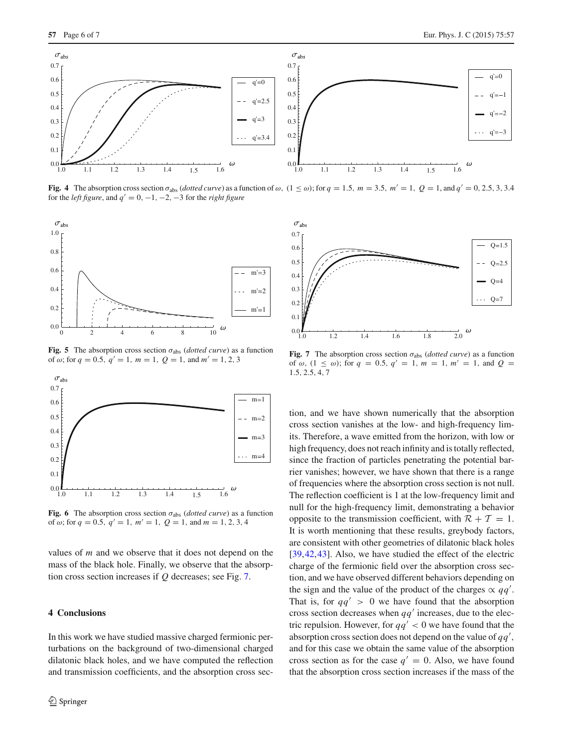

<span id="page-5-1"></span>**Fig. 4** The absorption cross section  $\sigma_{\text{abs}}$  (*dotted curve*) as a function of  $\omega$ ,  $(1 \leq \omega)$ ; for  $q = 1.5$ ,  $m = 3.5$ ,  $m' = 1$ ,  $Q = 1$ , and  $q' = 0, 2.5, 3, 3.4$ for the *left figure*, and  $q' = 0, -1, -2, -3$  for the *right figure* 



<span id="page-5-2"></span>**Fig. 5** The absorption cross section  $\sigma_{\text{abs}}$  (*dotted curve*) as a function of  $\omega$ ; for  $q = 0.5$ ,  $q' = 1$ ,  $m = 1$ ,  $Q = 1$ , and  $m' = 1, 2, 3$ 



<span id="page-5-3"></span>**Fig. 6** The absorption cross section  $\sigma_{\text{abs}}$  (*dotted curve*) as a function of  $\omega$ ; for  $q = 0.5$ ,  $q' = 1$ ,  $m' = 1$ ,  $Q = 1$ , and  $m = 1, 2, 3, 4$ 

values of *m* and we observe that it does not depend on the mass of the black hole. Finally, we observe that the absorption cross section increases if *Q* decreases; see Fig. [7.](#page-5-4)

### <span id="page-5-0"></span>**4 Conclusions**

In this work we have studied massive charged fermionic perturbations on the background of two-dimensional charged dilatonic black holes, and we have computed the reflection and transmission coefficients, and the absorption cross sec-



<span id="page-5-4"></span>**Fig. 7** The absorption cross section  $\sigma_{\text{abs}}$  (*dotted curve*) as a function of  $\omega$ ,  $(1 \leq \omega)$ ; for  $q = 0.5$ ,  $q' = 1$ ,  $m = 1$ ,  $m' = 1$ , and  $Q =$ 1.5, 2.5, 4, 7

tion, and we have shown numerically that the absorption cross section vanishes at the low- and high-frequency limits. Therefore, a wave emitted from the horizon, with low or high frequency, does not reach infinity and is totally reflected, since the fraction of particles penetrating the potential barrier vanishes; however, we have shown that there is a range of frequencies where the absorption cross section is not null. The reflection coefficient is 1 at the low-frequency limit and null for the high-frequency limit, demonstrating a behavior opposite to the transmission coefficient, with  $\mathcal{R} + \mathcal{T} = 1$ . It is worth mentioning that these results, greybody factors, are consistent with other geometries of dilatonic black holes [\[39](#page-6-28),[42,](#page-6-31)[43\]](#page-6-32). Also, we have studied the effect of the electric charge of the fermionic field over the absorption cross section, and we have observed different behaviors depending on the sign and the value of the product of the charges  $\propto qq'$ . That is, for  $qq' > 0$  we have found that the absorption cross section decreases when  $qq'$  increases, due to the electric repulsion. However, for  $qq' < 0$  we have found that the absorption cross section does not depend on the value of *qq* , and for this case we obtain the same value of the absorption cross section as for the case  $q' = 0$ . Also, we have found that the absorption cross section increases if the mass of the